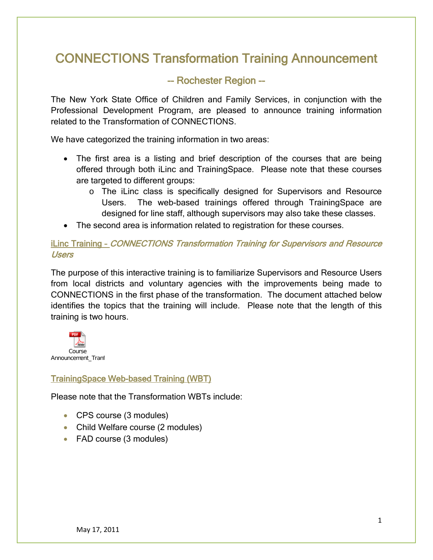# CONNECTIONS Transformation Training Announcement

# -- Rochester Region --

The New York State Office of Children and Family Services, in conjunction with the Professional Development Program, are pleased to announce training information related to the Transformation of CONNECTIONS.

We have categorized the training information in two areas:

- The first area is a listing and brief description of the courses that are being offered through both iLinc and TrainingSpace. Please note that these courses are targeted to different groups:
	- o The iLinc class is specifically designed for Supervisors and Resource Users. The web-based trainings offered through TrainingSpace are designed for line staff, although supervisors may also take these classes.
- The second area is information related to registration for these courses.

#### iLinc Training – CONNECTIONS Transformation Training for Supervisors and Resource Users

The purpose of this interactive training is to familiarize Supervisors and Resource Users from local districts and voluntary agencies with the improvements being made to CONNECTIONS in the first phase of the transformation. The document attached below identifies the topics that the training will include. Please note that the length of this training is two hours.



### TrainingSpace Web-based Training (WBT)

Please note that the Transformation WBTs include:

- CPS course (3 modules)
- Child Welfare course (2 modules)
- FAD course (3 modules)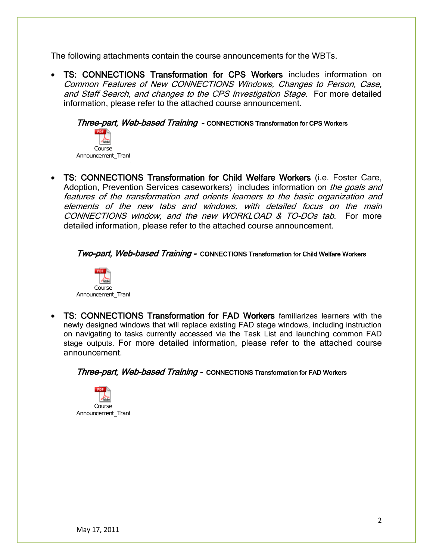The following attachments contain the course announcements for the WBTs.

• TS: CONNECTIONS Transformation for CPS Workers includes information on Common Features of New CONNECTIONS Windows, Changes to Person, Case, and Staff Search, and changes to the CPS Investigation Stage. For more detailed information, please refer to the attached course announcement.

Three-part, Web-based Training - CONNECTIONS Transformation for CPS Workers



• TS: CONNECTIONS Transformation for Child Welfare Workers (i.e. Foster Care, Adoption, Prevention Services caseworkers) includes information on the goals and features of the transformation and orients learners to the basic organization and elements of the new tabs and windows, with detailed focus on the main CONNECTIONS window, and the new WORKLOAD & TO-DOs tab. For more detailed information, please refer to the attached course announcement.

Two-part, Web-based Training - CONNECTIONS Transformation for Child Welfare Workers



• TS: CONNECTIONS Transformation for FAD Workers familiarizes learners with the newly designed windows that will replace existing FAD stage windows, including instruction on navigating to tasks currently accessed via the Task List and launching common FAD stage outputs. For more detailed information, please refer to the attached course announcement.

**Three-part, Web-based Training - CONNECTIONS Transformation for FAD Workers** 

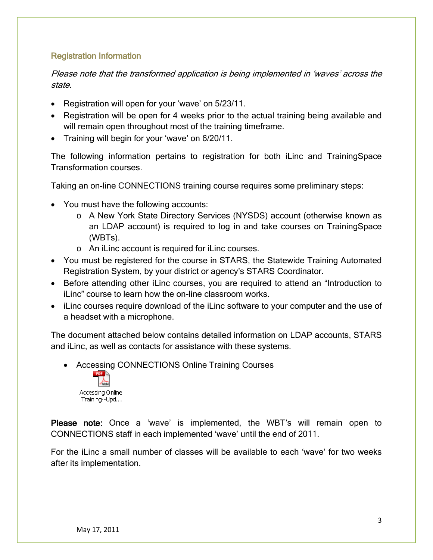#### Registration Information

Please note that the transformed application is being implemented in 'waves' across the state.

- Registration will open for your 'wave' on 5/23/11.
- Registration will be open for 4 weeks prior to the actual training being available and will remain open throughout most of the training time frame.
- Training will begin for your 'wave' on 6/20/11.

The following information pertains to registration for both iLinc and TrainingSpace Transformation courses.

Taking an on-line CONNECTIONS training course requires some preliminary steps:

- You must have the following accounts:
	- o A New York State Directory Services (NYSDS) account (otherwise known as an LDAP account) is required to log in and take courses on TrainingSpace (WBTs).
	- o An iLinc account is required for iLinc courses.
- You must be registered for the course in STARS, the Statewide Training Automated Registration System, by your district or agency's STARS Coordinator.
- Before attending other iLinc courses, you are required to attend an "Introduction to iLinc" course to learn how the on-line classroom works.
- iLinc courses require download of the iLinc software to your computer and the use of a headset with a microphone.

The document attached below contains detailed information on LDAP accounts, STARS and iLinc, as well as contacts for assistance with these systems.

• Accessing CONNECTIONS Online Training Courses



Please note: Once a 'wave' is implemented, the WBT's will remain open to CONNECTIONS staff in each implemented 'wave' until the end of 2011.

For the iLinc a small number of classes will be available to each 'wave' for two weeks after its implementation.